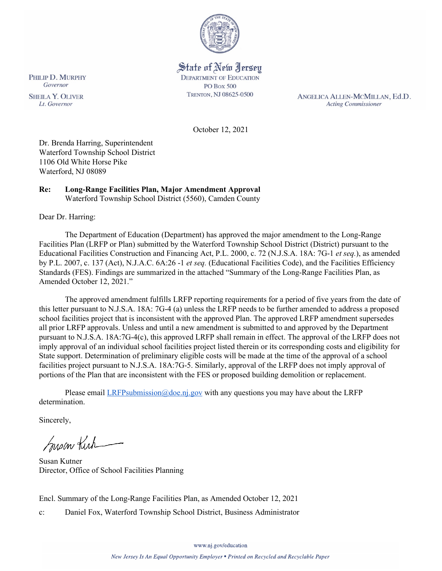

# State of New Jersey **DEPARTMENT OF EDUCATION**

**PO Box 500** TRENTON, NJ 08625-0500

ANGELICA ALLEN-MCMILLAN, Ed.D. **Acting Commissioner** 

October 12, 2021

Dr. Brenda Harring, Superintendent Waterford Township School District 1106 Old White Horse Pike Waterford, NJ 08089

#### **Re: Long-Range Facilities Plan, Major Amendment Approval**  Waterford Township School District (5560), Camden County

Dear Dr. Harring:

The Department of Education (Department) has approved the major amendment to the Long-Range Facilities Plan (LRFP or Plan) submitted by the Waterford Township School District (District) pursuant to the Educational Facilities Construction and Financing Act, P.L. 2000, c. 72 (N.J.S.A. 18A: 7G-1 *et seq.*), as amended by P.L. 2007, c. 137 (Act), N.J.A.C. 6A:26 -1 *et seq.* (Educational Facilities Code), and the Facilities Efficiency Standards (FES). Findings are summarized in the attached "Summary of the Long-Range Facilities Plan, as Amended October 12, 2021."

The approved amendment fulfills LRFP reporting requirements for a period of five years from the date of this letter pursuant to N.J.S.A. 18A: 7G-4 (a) unless the LRFP needs to be further amended to address a proposed school facilities project that is inconsistent with the approved Plan. The approved LRFP amendment supersedes all prior LRFP approvals. Unless and until a new amendment is submitted to and approved by the Department pursuant to N.J.S.A. 18A:7G-4(c), this approved LRFP shall remain in effect. The approval of the LRFP does not imply approval of an individual school facilities project listed therein or its corresponding costs and eligibility for State support. Determination of preliminary eligible costs will be made at the time of the approval of a school facilities project pursuant to N.J.S.A. 18A:7G-5. Similarly, approval of the LRFP does not imply approval of portions of the Plan that are inconsistent with the FES or proposed building demolition or replacement.

Please email  $LRFP submission@doe.ni.gov$  with any questions you may have about the LRFP determination.

Sincerely,

Susan Kich

Susan Kutner Director, Office of School Facilities Planning

Encl. Summary of the Long-Range Facilities Plan, as Amended October 12, 2021

c: Daniel Fox, Waterford Township School District, Business Administrator

Governor **SHEILA Y. OLIVER** Lt. Governor

PHILIP D. MURPHY

www.nj.gov/education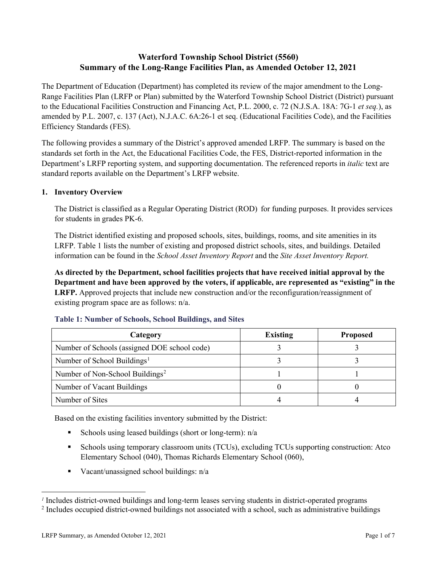# **Waterford Township School District (5560) Summary of the Long-Range Facilities Plan, as Amended October 12, 2021**

The Department of Education (Department) has completed its review of the major amendment to the Long-Range Facilities Plan (LRFP or Plan) submitted by the Waterford Township School District (District) pursuant to the Educational Facilities Construction and Financing Act, P.L. 2000, c. 72 (N.J.S.A. 18A: 7G-1 *et seq.*), as amended by P.L. 2007, c. 137 (Act), N.J.A.C. 6A:26-1 et seq. (Educational Facilities Code), and the Facilities Efficiency Standards (FES).

The following provides a summary of the District's approved amended LRFP. The summary is based on the standards set forth in the Act, the Educational Facilities Code, the FES, District-reported information in the Department's LRFP reporting system, and supporting documentation. The referenced reports in *italic* text are standard reports available on the Department's LRFP website.

## **1. Inventory Overview**

The District is classified as a Regular Operating District (ROD) for funding purposes. It provides services for students in grades PK-6.

The District identified existing and proposed schools, sites, buildings, rooms, and site amenities in its LRFP. Table 1 lists the number of existing and proposed district schools, sites, and buildings. Detailed information can be found in the *School Asset Inventory Report* and the *Site Asset Inventory Report.*

**As directed by the Department, school facilities projects that have received initial approval by the Department and have been approved by the voters, if applicable, are represented as "existing" in the LRFP.** Approved projects that include new construction and/or the reconfiguration/reassignment of existing program space are as follows: n/a.

| Category                                     | <b>Existing</b> | <b>Proposed</b> |
|----------------------------------------------|-----------------|-----------------|
| Number of Schools (assigned DOE school code) |                 |                 |
| Number of School Buildings <sup>1</sup>      |                 |                 |
| Number of Non-School Buildings <sup>2</sup>  |                 |                 |
| Number of Vacant Buildings                   |                 |                 |
| Number of Sites                              |                 |                 |

## **Table 1: Number of Schools, School Buildings, and Sites**

Based on the existing facilities inventory submitted by the District:

- Schools using leased buildings (short or long-term):  $n/a$
- Schools using temporary classroom units (TCUs), excluding TCUs supporting construction: Atco Elementary School (040), Thomas Richards Elementary School (060),
- Vacant/unassigned school buildings: n/a

*<sup>1</sup>* Includes district-owned buildings and long-term leases serving students in district-operated programs

<sup>&</sup>lt;sup>2</sup> Includes occupied district-owned buildings not associated with a school, such as administrative buildings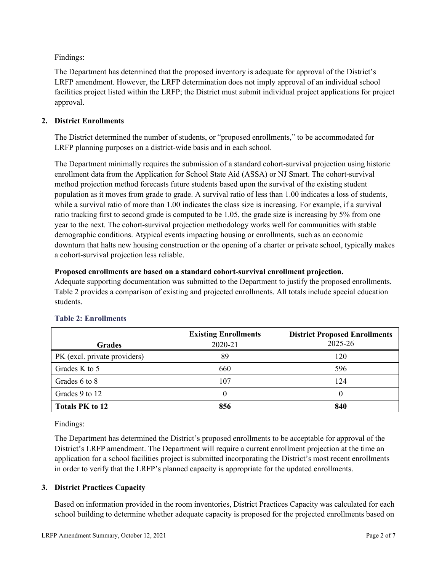Findings:

The Department has determined that the proposed inventory is adequate for approval of the District's LRFP amendment. However, the LRFP determination does not imply approval of an individual school facilities project listed within the LRFP; the District must submit individual project applications for project approval.

# **2. District Enrollments**

The District determined the number of students, or "proposed enrollments," to be accommodated for LRFP planning purposes on a district-wide basis and in each school.

The Department minimally requires the submission of a standard cohort-survival projection using historic enrollment data from the Application for School State Aid (ASSA) or NJ Smart. The cohort-survival method projection method forecasts future students based upon the survival of the existing student population as it moves from grade to grade. A survival ratio of less than 1.00 indicates a loss of students, while a survival ratio of more than 1.00 indicates the class size is increasing. For example, if a survival ratio tracking first to second grade is computed to be 1.05, the grade size is increasing by 5% from one year to the next. The cohort-survival projection methodology works well for communities with stable demographic conditions. Atypical events impacting housing or enrollments, such as an economic downturn that halts new housing construction or the opening of a charter or private school, typically makes a cohort-survival projection less reliable.

## **Proposed enrollments are based on a standard cohort-survival enrollment projection.**

Adequate supporting documentation was submitted to the Department to justify the proposed enrollments. Table 2 provides a comparison of existing and projected enrollments. All totals include special education students.

|                              | <b>Existing Enrollments</b> | <b>District Proposed Enrollments</b> |
|------------------------------|-----------------------------|--------------------------------------|
| <b>Grades</b>                | 2020-21                     | 2025-26                              |
| PK (excl. private providers) | 89                          | 120                                  |
| Grades K to 5                | 660                         | 596                                  |
| Grades 6 to 8                | 107                         | 124                                  |
| Grades 9 to 12               |                             | 0                                    |
| <b>Totals PK to 12</b>       | 856                         | 840                                  |

# **Table 2: Enrollments**

Findings:

The Department has determined the District's proposed enrollments to be acceptable for approval of the District's LRFP amendment. The Department will require a current enrollment projection at the time an application for a school facilities project is submitted incorporating the District's most recent enrollments in order to verify that the LRFP's planned capacity is appropriate for the updated enrollments.

## **3. District Practices Capacity**

Based on information provided in the room inventories, District Practices Capacity was calculated for each school building to determine whether adequate capacity is proposed for the projected enrollments based on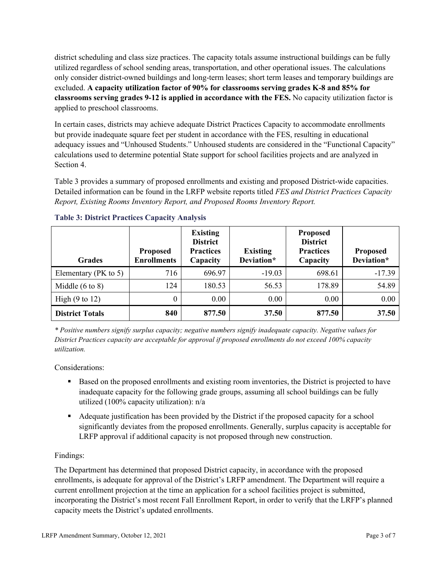district scheduling and class size practices. The capacity totals assume instructional buildings can be fully utilized regardless of school sending areas, transportation, and other operational issues. The calculations only consider district-owned buildings and long-term leases; short term leases and temporary buildings are excluded. **A capacity utilization factor of 90% for classrooms serving grades K-8 and 85% for classrooms serving grades 9-12 is applied in accordance with the FES.** No capacity utilization factor is applied to preschool classrooms.

In certain cases, districts may achieve adequate District Practices Capacity to accommodate enrollments but provide inadequate square feet per student in accordance with the FES, resulting in educational adequacy issues and "Unhoused Students." Unhoused students are considered in the "Functional Capacity" calculations used to determine potential State support for school facilities projects and are analyzed in Section 4.

Table 3 provides a summary of proposed enrollments and existing and proposed District-wide capacities. Detailed information can be found in the LRFP website reports titled *FES and District Practices Capacity Report, Existing Rooms Inventory Report, and Proposed Rooms Inventory Report.*

| <b>Grades</b>              | <b>Proposed</b><br><b>Enrollments</b> | <b>Existing</b><br><b>District</b><br><b>Practices</b><br>Capacity | <b>Existing</b><br>Deviation* | <b>Proposed</b><br><b>District</b><br><b>Practices</b><br>Capacity | <b>Proposed</b><br>Deviation* |
|----------------------------|---------------------------------------|--------------------------------------------------------------------|-------------------------------|--------------------------------------------------------------------|-------------------------------|
| Elementary ( $PK$ to 5)    | 716                                   | 696.97                                                             | $-19.03$                      | 698.61                                                             | $-17.39$                      |
| Middle $(6 \text{ to } 8)$ | 124                                   | 180.53                                                             | 56.53                         | 178.89                                                             | 54.89                         |
| High $(9 \text{ to } 12)$  | $\theta$                              | 0.00                                                               | 0.00                          | 0.00                                                               | 0.00                          |
| <b>District Totals</b>     | 840                                   | 877.50                                                             | 37.50                         | 877.50                                                             | 37.50                         |

## **Table 3: District Practices Capacity Analysis**

*\* Positive numbers signify surplus capacity; negative numbers signify inadequate capacity. Negative values for District Practices capacity are acceptable for approval if proposed enrollments do not exceed 100% capacity utilization.*

Considerations:

- Based on the proposed enrollments and existing room inventories, the District is projected to have inadequate capacity for the following grade groups, assuming all school buildings can be fully utilized (100% capacity utilization): n/a
- Adequate justification has been provided by the District if the proposed capacity for a school significantly deviates from the proposed enrollments. Generally, surplus capacity is acceptable for LRFP approval if additional capacity is not proposed through new construction.

## Findings:

The Department has determined that proposed District capacity, in accordance with the proposed enrollments, is adequate for approval of the District's LRFP amendment. The Department will require a current enrollment projection at the time an application for a school facilities project is submitted, incorporating the District's most recent Fall Enrollment Report, in order to verify that the LRFP's planned capacity meets the District's updated enrollments.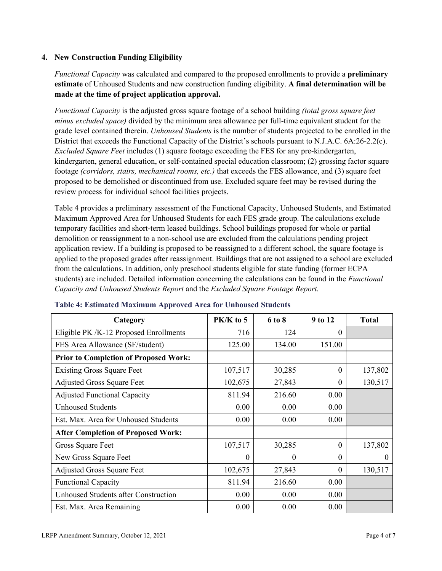#### **4. New Construction Funding Eligibility**

*Functional Capacity* was calculated and compared to the proposed enrollments to provide a **preliminary estimate** of Unhoused Students and new construction funding eligibility. **A final determination will be made at the time of project application approval.**

*Functional Capacity* is the adjusted gross square footage of a school building *(total gross square feet minus excluded space)* divided by the minimum area allowance per full-time equivalent student for the grade level contained therein. *Unhoused Students* is the number of students projected to be enrolled in the District that exceeds the Functional Capacity of the District's schools pursuant to N.J.A.C. 6A:26-2.2(c). *Excluded Square Feet* includes (1) square footage exceeding the FES for any pre-kindergarten, kindergarten, general education, or self-contained special education classroom; (2) grossing factor square footage *(corridors, stairs, mechanical rooms, etc.)* that exceeds the FES allowance, and (3) square feet proposed to be demolished or discontinued from use. Excluded square feet may be revised during the review process for individual school facilities projects.

Table 4 provides a preliminary assessment of the Functional Capacity, Unhoused Students, and Estimated Maximum Approved Area for Unhoused Students for each FES grade group. The calculations exclude temporary facilities and short-term leased buildings. School buildings proposed for whole or partial demolition or reassignment to a non-school use are excluded from the calculations pending project application review. If a building is proposed to be reassigned to a different school, the square footage is applied to the proposed grades after reassignment. Buildings that are not assigned to a school are excluded from the calculations. In addition, only preschool students eligible for state funding (former ECPA students) are included. Detailed information concerning the calculations can be found in the *Functional Capacity and Unhoused Students Report* and the *Excluded Square Footage Report.*

| Category                                     | $PK/K$ to 5 | 6 to 8 | 9 to 12  | <b>Total</b> |
|----------------------------------------------|-------------|--------|----------|--------------|
| Eligible PK /K-12 Proposed Enrollments       | 716         | 124    | 0        |              |
| FES Area Allowance (SF/student)              | 125.00      | 134.00 | 151.00   |              |
| <b>Prior to Completion of Proposed Work:</b> |             |        |          |              |
| <b>Existing Gross Square Feet</b>            | 107,517     | 30,285 | $\theta$ | 137,802      |
| <b>Adjusted Gross Square Feet</b>            | 102,675     | 27,843 | $\theta$ | 130,517      |
| <b>Adjusted Functional Capacity</b>          | 811.94      | 216.60 | 0.00     |              |
| <b>Unhoused Students</b>                     | 0.00        | 0.00   | 0.00     |              |
| Est. Max. Area for Unhoused Students         | 0.00        | 0.00   | 0.00     |              |
| <b>After Completion of Proposed Work:</b>    |             |        |          |              |
| Gross Square Feet                            | 107,517     | 30,285 | $\theta$ | 137,802      |
| New Gross Square Feet                        | $\theta$    | 0      | $\theta$ | $\theta$     |
| <b>Adjusted Gross Square Feet</b>            | 102,675     | 27,843 | $\theta$ | 130,517      |
| <b>Functional Capacity</b>                   | 811.94      | 216.60 | 0.00     |              |
| Unhoused Students after Construction         | 0.00        | 0.00   | 0.00     |              |
| Est. Max. Area Remaining                     | 0.00        | 0.00   | 0.00     |              |

#### **Table 4: Estimated Maximum Approved Area for Unhoused Students**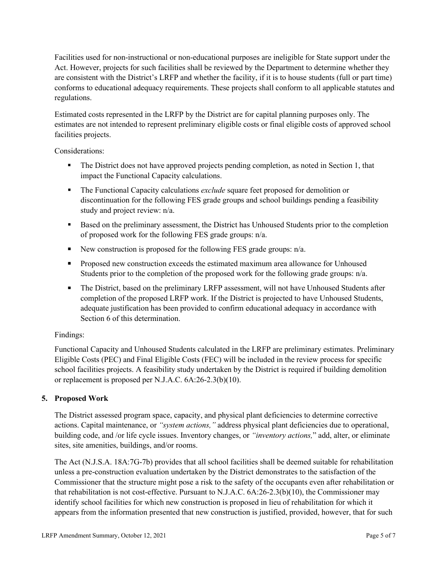Facilities used for non-instructional or non-educational purposes are ineligible for State support under the Act. However, projects for such facilities shall be reviewed by the Department to determine whether they are consistent with the District's LRFP and whether the facility, if it is to house students (full or part time) conforms to educational adequacy requirements. These projects shall conform to all applicable statutes and regulations.

Estimated costs represented in the LRFP by the District are for capital planning purposes only. The estimates are not intended to represent preliminary eligible costs or final eligible costs of approved school facilities projects.

Considerations:

- The District does not have approved projects pending completion, as noted in Section 1, that impact the Functional Capacity calculations.
- **The Functional Capacity calculations** *exclude* square feet proposed for demolition or discontinuation for the following FES grade groups and school buildings pending a feasibility study and project review: n/a.
- Based on the preliminary assessment, the District has Unhoused Students prior to the completion of proposed work for the following FES grade groups: n/a.
- New construction is proposed for the following FES grade groups: n/a.
- Proposed new construction exceeds the estimated maximum area allowance for Unhoused Students prior to the completion of the proposed work for the following grade groups: n/a.
- The District, based on the preliminary LRFP assessment, will not have Unhoused Students after completion of the proposed LRFP work. If the District is projected to have Unhoused Students, adequate justification has been provided to confirm educational adequacy in accordance with Section 6 of this determination.

## Findings:

Functional Capacity and Unhoused Students calculated in the LRFP are preliminary estimates. Preliminary Eligible Costs (PEC) and Final Eligible Costs (FEC) will be included in the review process for specific school facilities projects. A feasibility study undertaken by the District is required if building demolition or replacement is proposed per N.J.A.C. 6A:26-2.3(b)(10).

## **5. Proposed Work**

The District assessed program space, capacity, and physical plant deficiencies to determine corrective actions. Capital maintenance, or *"system actions,"* address physical plant deficiencies due to operational, building code, and /or life cycle issues. Inventory changes, or *"inventory actions,*" add, alter, or eliminate sites, site amenities, buildings, and/or rooms.

The Act (N.J.S.A. 18A:7G-7b) provides that all school facilities shall be deemed suitable for rehabilitation unless a pre-construction evaluation undertaken by the District demonstrates to the satisfaction of the Commissioner that the structure might pose a risk to the safety of the occupants even after rehabilitation or that rehabilitation is not cost-effective. Pursuant to N.J.A.C. 6A:26-2.3(b)(10), the Commissioner may identify school facilities for which new construction is proposed in lieu of rehabilitation for which it appears from the information presented that new construction is justified, provided, however, that for such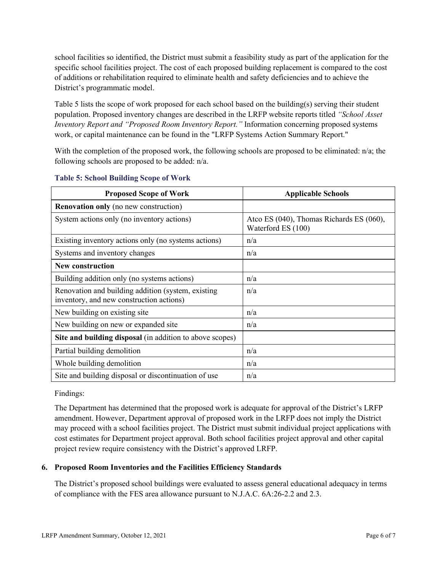school facilities so identified, the District must submit a feasibility study as part of the application for the specific school facilities project. The cost of each proposed building replacement is compared to the cost of additions or rehabilitation required to eliminate health and safety deficiencies and to achieve the District's programmatic model.

Table 5 lists the scope of work proposed for each school based on the building(s) serving their student population. Proposed inventory changes are described in the LRFP website reports titled *"School Asset Inventory Report and "Proposed Room Inventory Report."* Information concerning proposed systems work, or capital maintenance can be found in the "LRFP Systems Action Summary Report."

With the completion of the proposed work, the following schools are proposed to be eliminated:  $n/a$ ; the following schools are proposed to be added: n/a.

| <b>Proposed Scope of Work</b>                                                                  | <b>Applicable Schools</b>                                      |
|------------------------------------------------------------------------------------------------|----------------------------------------------------------------|
| <b>Renovation only</b> (no new construction)                                                   |                                                                |
| System actions only (no inventory actions)                                                     | Atco ES (040), Thomas Richards ES (060),<br>Waterford ES (100) |
| Existing inventory actions only (no systems actions)                                           | n/a                                                            |
| Systems and inventory changes                                                                  | n/a                                                            |
| <b>New construction</b>                                                                        |                                                                |
| Building addition only (no systems actions)                                                    | n/a                                                            |
| Renovation and building addition (system, existing<br>inventory, and new construction actions) | n/a                                                            |
| New building on existing site                                                                  | n/a                                                            |
| New building on new or expanded site                                                           | n/a                                                            |
| Site and building disposal (in addition to above scopes)                                       |                                                                |
| Partial building demolition                                                                    | n/a                                                            |
| Whole building demolition                                                                      | n/a                                                            |
| Site and building disposal or discontinuation of use                                           | n/a                                                            |

#### **Table 5: School Building Scope of Work**

Findings:

The Department has determined that the proposed work is adequate for approval of the District's LRFP amendment. However, Department approval of proposed work in the LRFP does not imply the District may proceed with a school facilities project. The District must submit individual project applications with cost estimates for Department project approval. Both school facilities project approval and other capital project review require consistency with the District's approved LRFP.

## **6. Proposed Room Inventories and the Facilities Efficiency Standards**

The District's proposed school buildings were evaluated to assess general educational adequacy in terms of compliance with the FES area allowance pursuant to N.J.A.C. 6A:26-2.2 and 2.3.